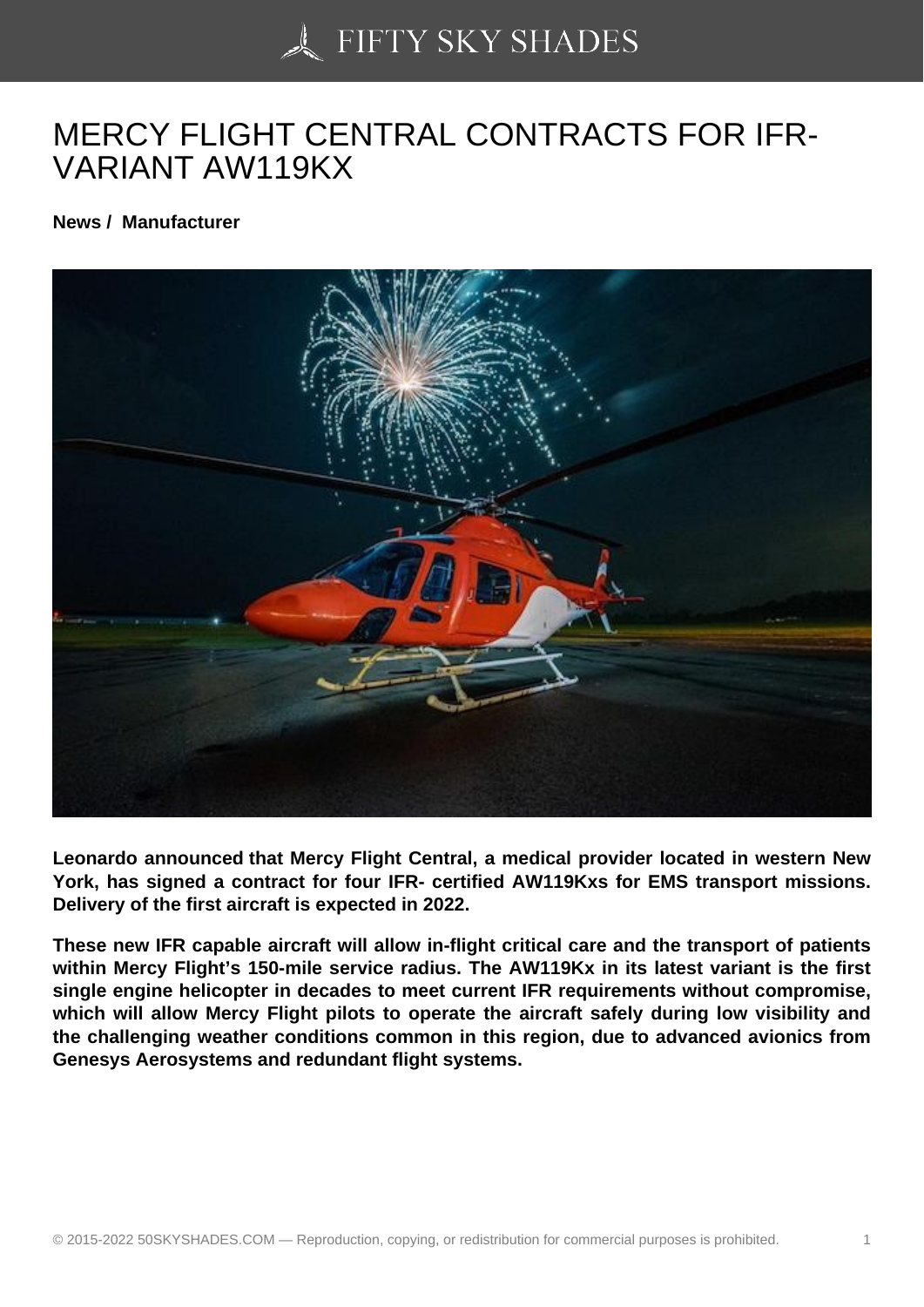## [MERCY FLIGHT CENT](https://50skyshades.com)RAL CONTRACTS FOR IFR-VARIANT AW119KX

News / Manufacturer

Leonardo announced that Mercy Flight Central, a medical provider located in western New York, has signed a contract for four IFR- certified AW119Kxs for EMS transport missions. Delivery of the first aircraft is expected in 2022.

These new IFR capable aircraft will allow in-flight critical care and the transport of patients within Mercy Flight's 150-mile service radius. The AW119Kx in its latest variant is the first single engine helicopter in decades to meet current IFR requirements without compromise, which will allow Mercy Flight pilots to operate the aircraft safely during low visibility and the challenging weather conditions common in this region, due to advanced avionics from Genesys Aerosystems and redundant flight systems.